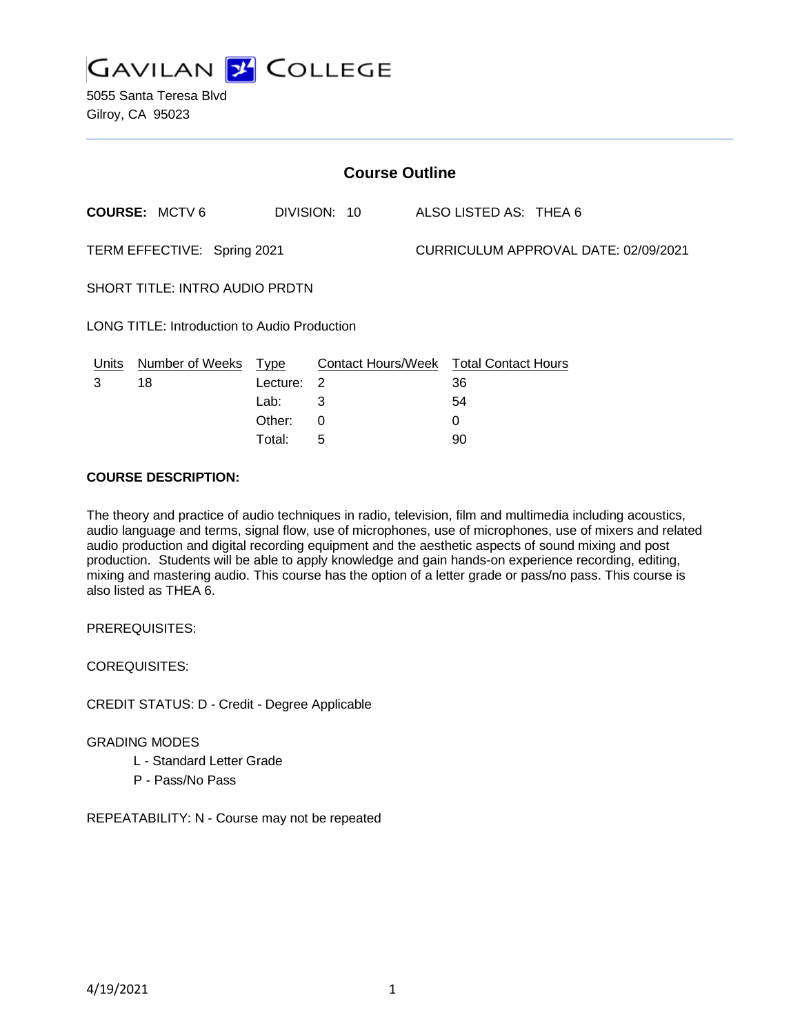

5055 Santa Teresa Blvd Gilroy, CA 95023

| <b>Course Outline</b>                        |                      |          |                                        |  |                                      |  |  |
|----------------------------------------------|----------------------|----------|----------------------------------------|--|--------------------------------------|--|--|
|                                              | <b>COURSE: MCTV6</b> |          | DIVISION: 10                           |  | ALSO LISTED AS: THEA 6               |  |  |
| TERM EFFECTIVE: Spring 2021                  |                      |          |                                        |  | CURRICULUM APPROVAL DATE: 02/09/2021 |  |  |
| SHORT TITLE: INTRO AUDIO PRDTN               |                      |          |                                        |  |                                      |  |  |
| LONG TITLE: Introduction to Audio Production |                      |          |                                        |  |                                      |  |  |
| Units                                        | Number of Weeks Type |          | Contact Hours/Week Total Contact Hours |  |                                      |  |  |
| 3                                            | 18                   | Lecture: | $\overline{\phantom{0}}^2$             |  | 36                                   |  |  |
|                                              |                      | Lab:     | 3                                      |  | 54                                   |  |  |
|                                              |                      | Other:   | 0                                      |  | 0                                    |  |  |

Total: 5 90

#### **COURSE DESCRIPTION:**

The theory and practice of audio techniques in radio, television, film and multimedia including acoustics, audio language and terms, signal flow, use of microphones, use of microphones, use of mixers and related audio production and digital recording equipment and the aesthetic aspects of sound mixing and post production. Students will be able to apply knowledge and gain hands-on experience recording, editing, mixing and mastering audio. This course has the option of a letter grade or pass/no pass. This course is also listed as THEA 6.

PREREQUISITES:

COREQUISITES:

CREDIT STATUS: D - Credit - Degree Applicable

#### GRADING MODES

- L Standard Letter Grade
- P Pass/No Pass

REPEATABILITY: N - Course may not be repeated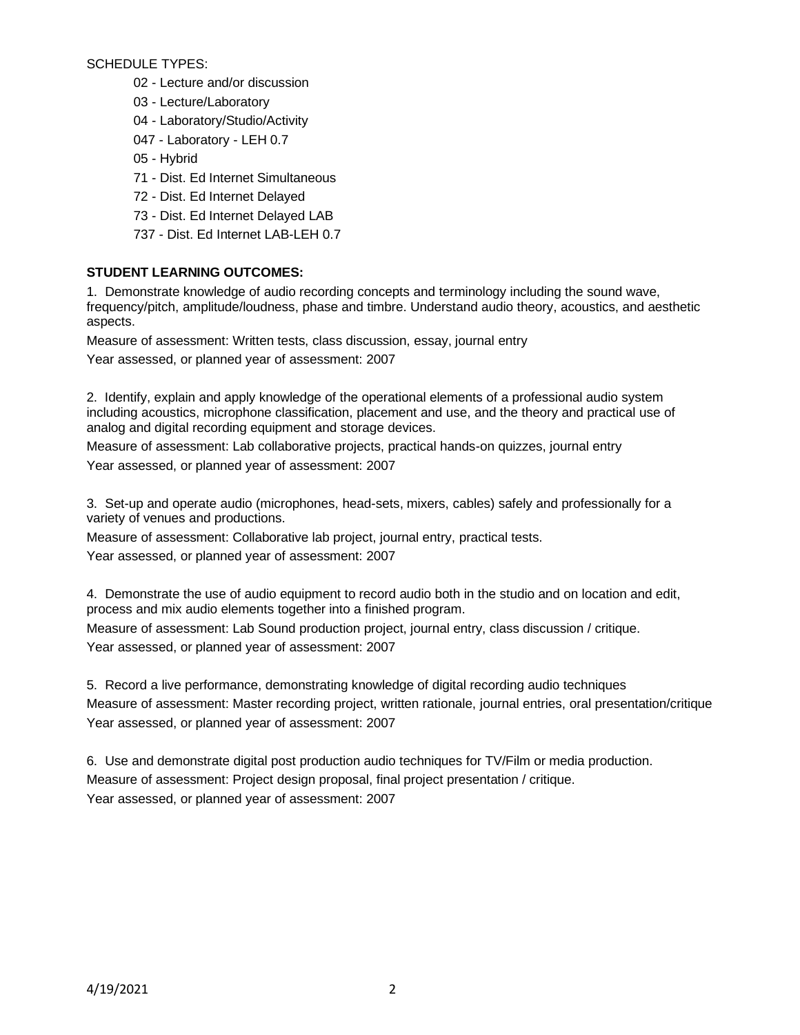SCHEDULE TYPES:

- 02 Lecture and/or discussion
- 03 Lecture/Laboratory
- 04 Laboratory/Studio/Activity
- 047 Laboratory LEH 0.7
- 05 Hybrid
- 71 Dist. Ed Internet Simultaneous
- 72 Dist. Ed Internet Delayed
- 73 Dist. Ed Internet Delayed LAB
- 737 Dist. Ed Internet LAB-LEH 0.7

# **STUDENT LEARNING OUTCOMES:**

1. Demonstrate knowledge of audio recording concepts and terminology including the sound wave, frequency/pitch, amplitude/loudness, phase and timbre. Understand audio theory, acoustics, and aesthetic aspects.

Measure of assessment: Written tests, class discussion, essay, journal entry

Year assessed, or planned year of assessment: 2007

2. Identify, explain and apply knowledge of the operational elements of a professional audio system including acoustics, microphone classification, placement and use, and the theory and practical use of analog and digital recording equipment and storage devices.

Measure of assessment: Lab collaborative projects, practical hands-on quizzes, journal entry

Year assessed, or planned year of assessment: 2007

3. Set-up and operate audio (microphones, head-sets, mixers, cables) safely and professionally for a variety of venues and productions.

Measure of assessment: Collaborative lab project, journal entry, practical tests. Year assessed, or planned year of assessment: 2007

4. Demonstrate the use of audio equipment to record audio both in the studio and on location and edit, process and mix audio elements together into a finished program.

Measure of assessment: Lab Sound production project, journal entry, class discussion / critique. Year assessed, or planned year of assessment: 2007

5. Record a live performance, demonstrating knowledge of digital recording audio techniques Measure of assessment: Master recording project, written rationale, journal entries, oral presentation/critique Year assessed, or planned year of assessment: 2007

6. Use and demonstrate digital post production audio techniques for TV/Film or media production. Measure of assessment: Project design proposal, final project presentation / critique. Year assessed, or planned year of assessment: 2007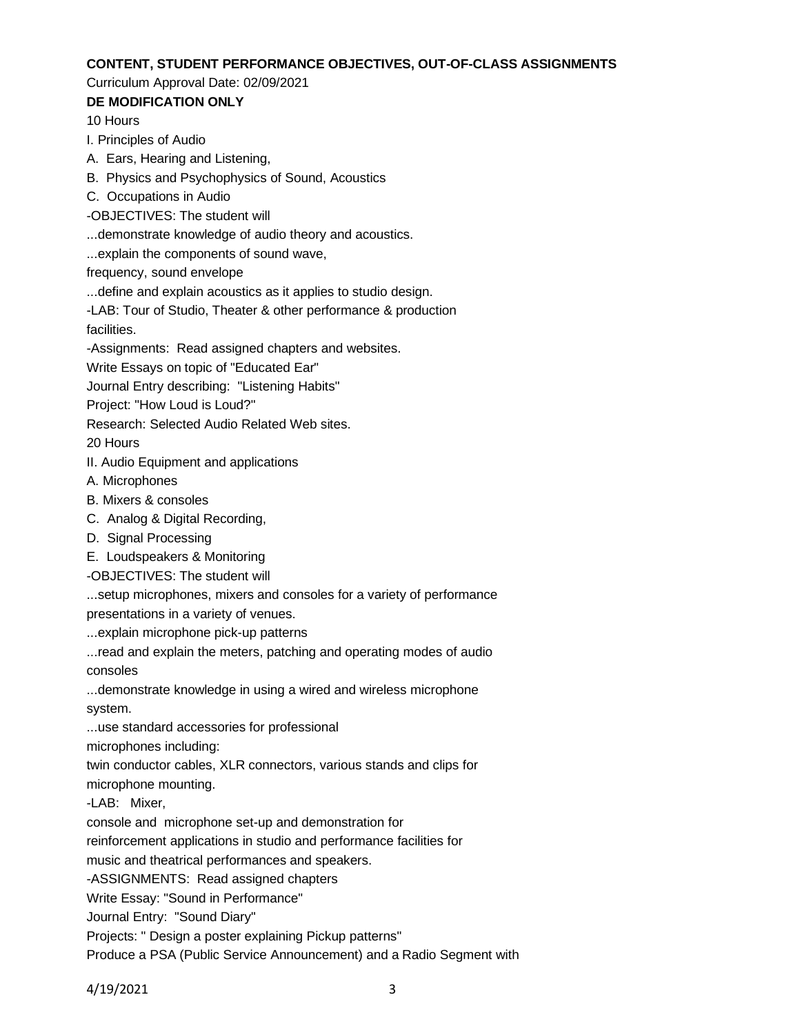#### **CONTENT, STUDENT PERFORMANCE OBJECTIVES, OUT-OF-CLASS ASSIGNMENTS**

### Curriculum Approval Date: 02/09/2021

## **DE MODIFICATION ONLY**

10 Hours

I. Principles of Audio

A. Ears, Hearing and Listening,

B. Physics and Psychophysics of Sound, Acoustics

C. Occupations in Audio

-OBJECTIVES: The student will

...demonstrate knowledge of audio theory and acoustics.

...explain the components of sound wave,

frequency, sound envelope

...define and explain acoustics as it applies to studio design.

-LAB: Tour of Studio, Theater & other performance & production facilities.

-Assignments: Read assigned chapters and websites.

Write Essays on topic of "Educated Ear"

Journal Entry describing: "Listening Habits"

Project: "How Loud is Loud?"

Research: Selected Audio Related Web sites.

20 Hours

II. Audio Equipment and applications

A. Microphones

B. Mixers & consoles

C. Analog & Digital Recording,

D. Signal Processing

E. Loudspeakers & Monitoring

-OBJECTIVES: The student will

...setup microphones, mixers and consoles for a variety of performance

presentations in a variety of venues.

...explain microphone pick-up patterns

...read and explain the meters, patching and operating modes of audio consoles

...demonstrate knowledge in using a wired and wireless microphone system.

...use standard accessories for professional

microphones including:

twin conductor cables, XLR connectors, various stands and clips for microphone mounting.

-LAB: Mixer,

console and microphone set-up and demonstration for

reinforcement applications in studio and performance facilities for

music and theatrical performances and speakers.

-ASSIGNMENTS: Read assigned chapters

Write Essay: "Sound in Performance"

Journal Entry: "Sound Diary"

Projects: " Design a poster explaining Pickup patterns"

Produce a PSA (Public Service Announcement) and a Radio Segment with

4/19/2021 3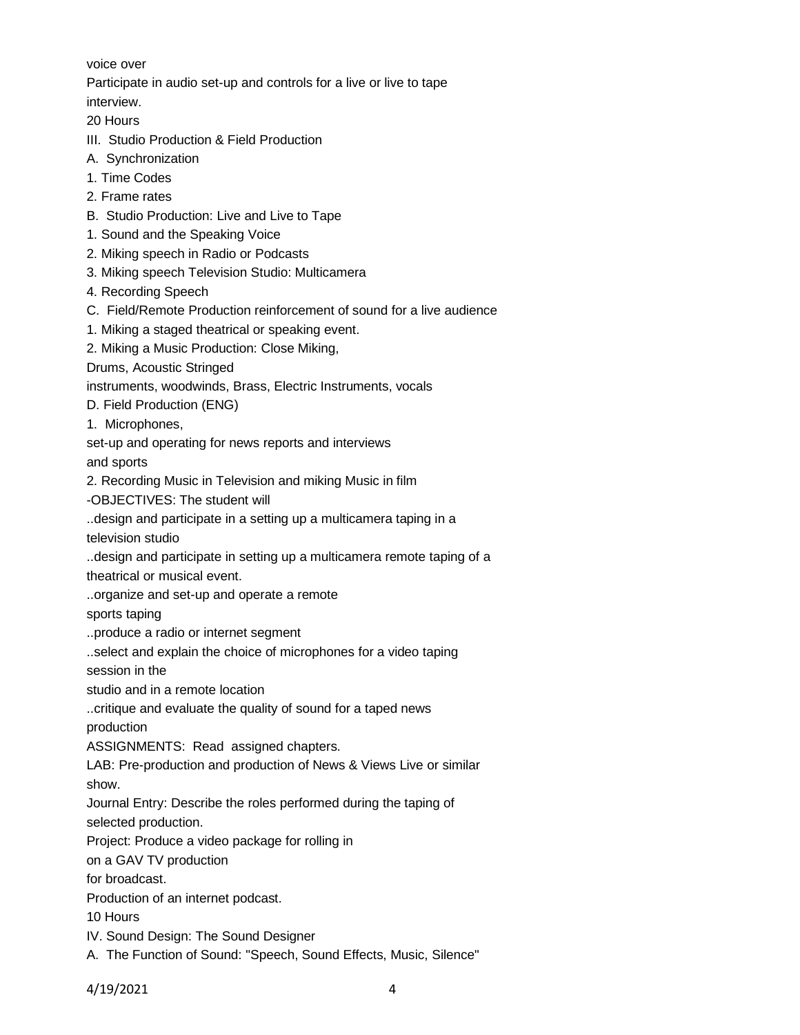voice over

Participate in audio set-up and controls for a live or live to tape

interview.

20 Hours

- III. Studio Production & Field Production
- A. Synchronization
- 1. Time Codes
- 2. Frame rates
- B. Studio Production: Live and Live to Tape
- 1. Sound and the Speaking Voice
- 2. Miking speech in Radio or Podcasts
- 3. Miking speech Television Studio: Multicamera
- 4. Recording Speech
- C. Field/Remote Production reinforcement of sound for a live audience
- 1. Miking a staged theatrical or speaking event.
- 2. Miking a Music Production: Close Miking,

Drums, Acoustic Stringed

instruments, woodwinds, Brass, Electric Instruments, vocals

- D. Field Production (ENG)
- 1. Microphones,

set-up and operating for news reports and interviews and sports

2. Recording Music in Television and miking Music in film

-OBJECTIVES: The student will

..design and participate in a setting up a multicamera taping in a

television studio

..design and participate in setting up a multicamera remote taping of a theatrical or musical event.

..organize and set-up and operate a remote

sports taping

..produce a radio or internet segment

..select and explain the choice of microphones for a video taping

session in the

studio and in a remote location

..critique and evaluate the quality of sound for a taped news production

ASSIGNMENTS: Read assigned chapters.

LAB: Pre-production and production of News & Views Live or similar

show.

Journal Entry: Describe the roles performed during the taping of

selected production.

Project: Produce a video package for rolling in

on a GAV TV production

for broadcast.

Production of an internet podcast.

10 Hours

IV. Sound Design: The Sound Designer

A. The Function of Sound: "Speech, Sound Effects, Music, Silence"

4/19/2021 4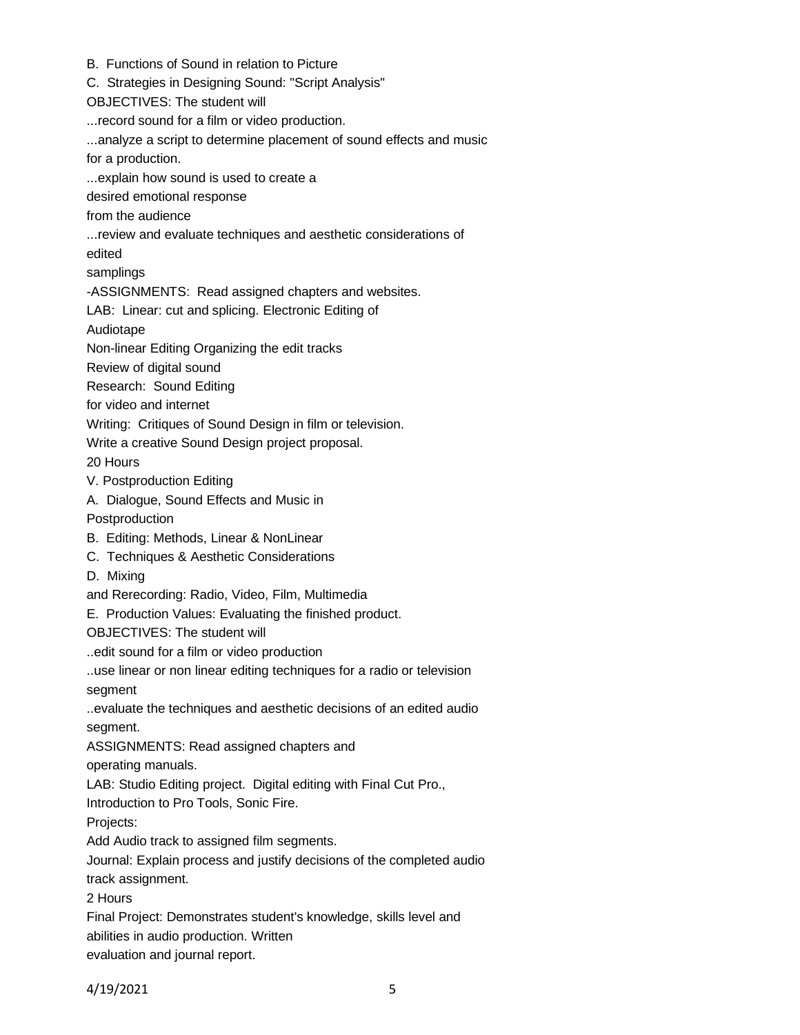- B. Functions of Sound in relation to Picture
- C. Strategies in Designing Sound: "Script Analysis"
- OBJECTIVES: The student will
- ...record sound for a film or video production.
- ...analyze a script to determine placement of sound effects and music
- for a production.
- ...explain how sound is used to create a
- desired emotional response
- from the audience
- ...review and evaluate techniques and aesthetic considerations of
- edited
- samplings
- -ASSIGNMENTS: Read assigned chapters and websites.
- LAB: Linear: cut and splicing. Electronic Editing of
- Audiotape
- Non-linear Editing Organizing the edit tracks
- Review of digital sound
- Research: Sound Editing
- for video and internet
- Writing: Critiques of Sound Design in film or television.
- Write a creative Sound Design project proposal.
- 20 Hours
- V. Postproduction Editing
- A. Dialogue, Sound Effects and Music in
- Postproduction
- B. Editing: Methods, Linear & NonLinear
- C. Techniques & Aesthetic Considerations
- D. Mixing
- and Rerecording: Radio, Video, Film, Multimedia
- E. Production Values: Evaluating the finished product.

OBJECTIVES: The student will

- ..edit sound for a film or video production
- ..use linear or non linear editing techniques for a radio or television
- segment

..evaluate the techniques and aesthetic decisions of an edited audio segment.

ASSIGNMENTS: Read assigned chapters and

operating manuals.

LAB: Studio Editing project. Digital editing with Final Cut Pro.,

Introduction to Pro Tools, Sonic Fire.

Projects:

Add Audio track to assigned film segments.

Journal: Explain process and justify decisions of the completed audio

track assignment.

2 Hours

Final Project: Demonstrates student's knowledge, skills level and

abilities in audio production. Written

evaluation and journal report.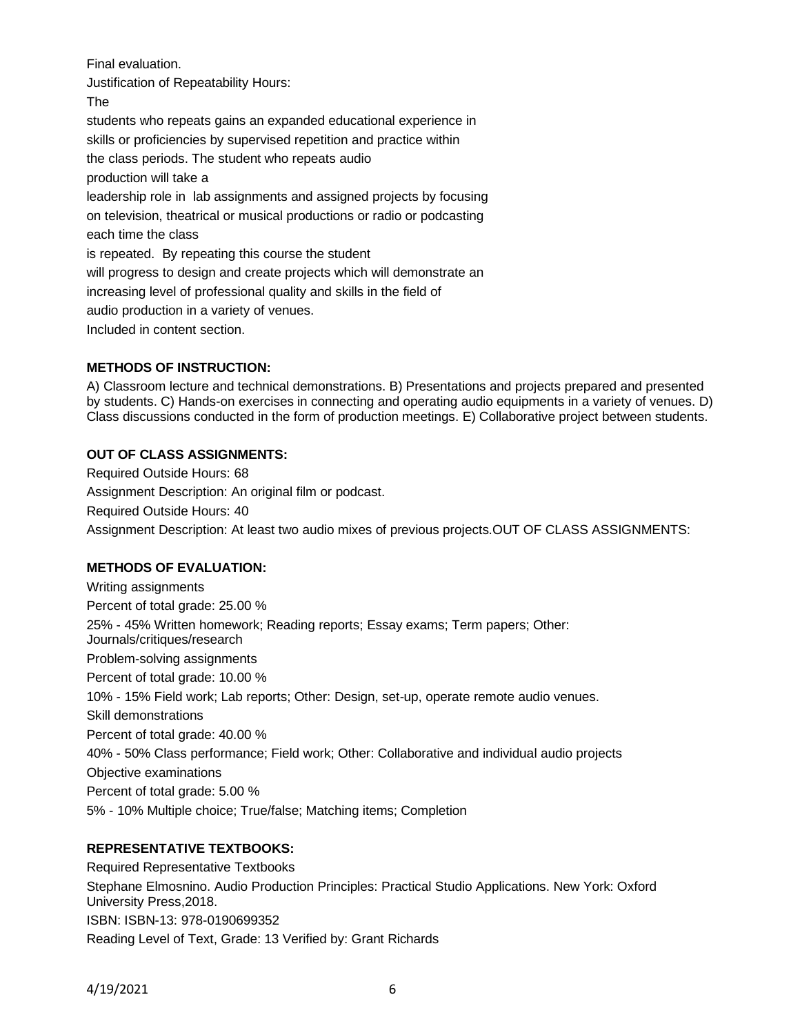Final evaluation.

Justification of Repeatability Hours:

The

students who repeats gains an expanded educational experience in skills or proficiencies by supervised repetition and practice within the class periods. The student who repeats audio production will take a leadership role in lab assignments and assigned projects by focusing on television, theatrical or musical productions or radio or podcasting each time the class is repeated. By repeating this course the student will progress to design and create projects which will demonstrate an increasing level of professional quality and skills in the field of audio production in a variety of venues. Included in content section.

# **METHODS OF INSTRUCTION:**

A) Classroom lecture and technical demonstrations. B) Presentations and projects prepared and presented by students. C) Hands-on exercises in connecting and operating audio equipments in a variety of venues. D) Class discussions conducted in the form of production meetings. E) Collaborative project between students.

## **OUT OF CLASS ASSIGNMENTS:**

Required Outside Hours: 68 Assignment Description: An original film or podcast. Required Outside Hours: 40 Assignment Description: At least two audio mixes of previous projects.OUT OF CLASS ASSIGNMENTS:

# **METHODS OF EVALUATION:**

Writing assignments Percent of total grade: 25.00 % 25% - 45% Written homework; Reading reports; Essay exams; Term papers; Other: Journals/critiques/research Problem-solving assignments Percent of total grade: 10.00 % 10% - 15% Field work; Lab reports; Other: Design, set-up, operate remote audio venues. Skill demonstrations Percent of total grade: 40.00 % 40% - 50% Class performance; Field work; Other: Collaborative and individual audio projects Objective examinations Percent of total grade: 5.00 % 5% - 10% Multiple choice; True/false; Matching items; Completion

# **REPRESENTATIVE TEXTBOOKS:**

Required Representative Textbooks Stephane Elmosnino. Audio Production Principles: Practical Studio Applications. New York: Oxford University Press,2018. ISBN: ISBN-13: 978-0190699352 Reading Level of Text, Grade: 13 Verified by: Grant Richards